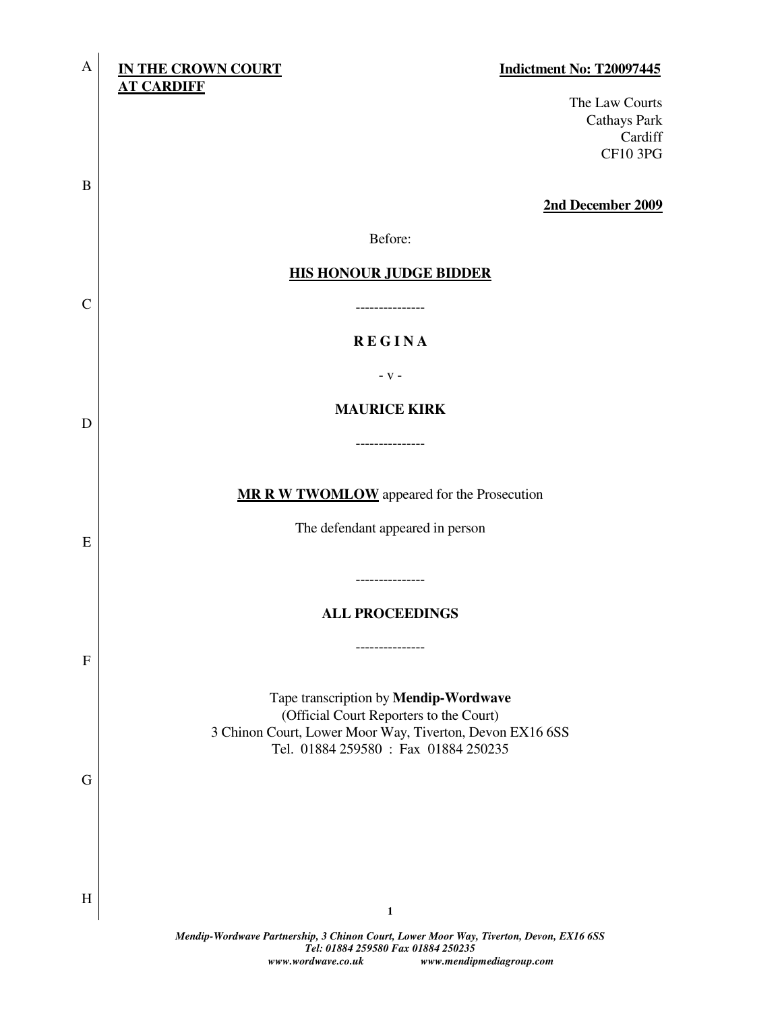| A            | <b>IN THE CROWN COURT</b><br>Indictment No: T20097445<br><b>AT CARDIFF</b>                                                   |
|--------------|------------------------------------------------------------------------------------------------------------------------------|
|              | The Law Courts<br><b>Cathays Park</b><br>Cardiff<br><b>CF10 3PG</b>                                                          |
| B            | 2nd December 2009                                                                                                            |
|              | Before:                                                                                                                      |
|              | <b>HIS HONOUR JUDGE BIDDER</b>                                                                                               |
| $\mathbf C$  | -----------                                                                                                                  |
|              | <b>REGINA</b>                                                                                                                |
|              | $-V -$                                                                                                                       |
| D            | <b>MAURICE KIRK</b>                                                                                                          |
|              | -------------                                                                                                                |
|              |                                                                                                                              |
|              | MR R W TWOMLOW appeared for the Prosecution                                                                                  |
| Ε            | The defendant appeared in person                                                                                             |
|              | -------------                                                                                                                |
|              | <b>ALL PROCEEDINGS</b>                                                                                                       |
|              | ------------                                                                                                                 |
| $\mathbf{F}$ |                                                                                                                              |
|              | Tape transcription by Mendip-Wordwave<br>(Official Court Reporters to the Court)                                             |
|              | 3 Chinon Court, Lower Moor Way, Tiverton, Devon EX16 6SS<br>Tel. 01884 259580 : Fax 01884 250235                             |
| G            |                                                                                                                              |
|              |                                                                                                                              |
|              |                                                                                                                              |
|              |                                                                                                                              |
| H            | $\mathbf{1}$                                                                                                                 |
|              | Mendip-Wordwave Partnership, 3 Chinon Court, Lower Moor Way, Tiverton, Devon, EX16 6SS<br>Tel: 01884 259580 Fax 01884 250235 |

 *www.wordwave.co.uk www.mendipmediagroup.com*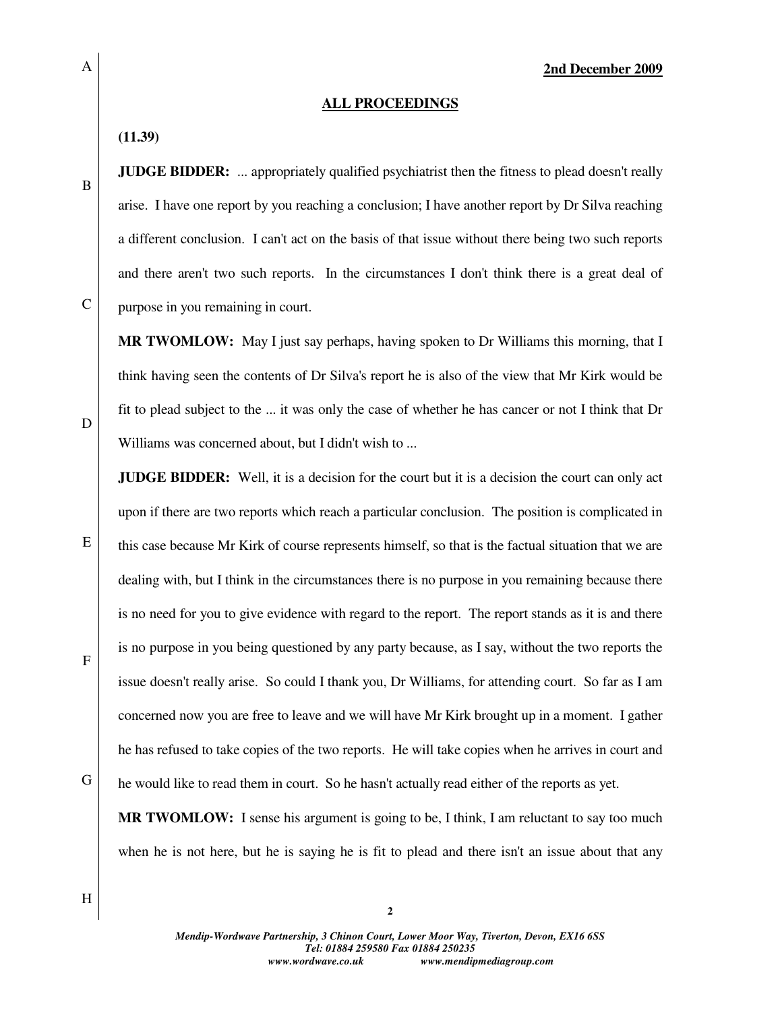#### **ALL PROCEEDINGS**

**(11.39)** 

**JUDGE BIDDER:** ... appropriately qualified psychiatrist then the fitness to plead doesn't really arise. I have one report by you reaching a conclusion; I have another report by Dr Silva reaching a different conclusion. I can't act on the basis of that issue without there being two such reports and there aren't two such reports. In the circumstances I don't think there is a great deal of purpose in you remaining in court.

**MR TWOMLOW:** May I just say perhaps, having spoken to Dr Williams this morning, that I think having seen the contents of Dr Silva's report he is also of the view that Mr Kirk would be fit to plead subject to the ... it was only the case of whether he has cancer or not I think that Dr Williams was concerned about, but I didn't wish to ...

**JUDGE BIDDER:** Well, it is a decision for the court but it is a decision the court can only act upon if there are two reports which reach a particular conclusion. The position is complicated in this case because Mr Kirk of course represents himself, so that is the factual situation that we are dealing with, but I think in the circumstances there is no purpose in you remaining because there is no need for you to give evidence with regard to the report. The report stands as it is and there is no purpose in you being questioned by any party because, as I say, without the two reports the issue doesn't really arise. So could I thank you, Dr Williams, for attending court. So far as I am concerned now you are free to leave and we will have Mr Kirk brought up in a moment. I gather he has refused to take copies of the two reports. He will take copies when he arrives in court and he would like to read them in court. So he hasn't actually read either of the reports as yet.

**MR TWOMLOW:** I sense his argument is going to be, I think, I am reluctant to say too much when he is not here, but he is saying he is fit to plead and there isn't an issue about that any

D

E

F

H

G

*Mendip-Wordwave Partnership, 3 Chinon Court, Lower Moor Way, Tiverton, Devon, EX16 6SS Tel: 01884 259580 Fax 01884 250235 www.wordwave.co.uk www.mendipmediagroup.com* 

**2**

B

C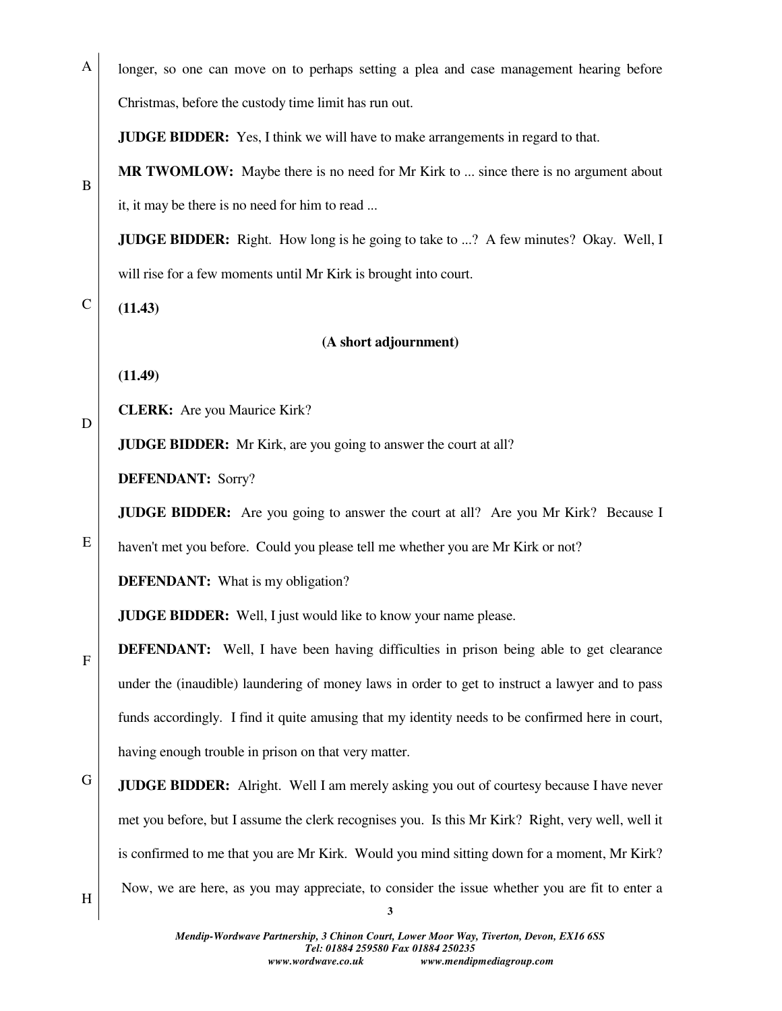A longer, so one can move on to perhaps setting a plea and case management hearing before Christmas, before the custody time limit has run out.

**JUDGE BIDDER:** Yes, I think we will have to make arrangements in regard to that.

**MR TWOMLOW:** Maybe there is no need for Mr Kirk to ... since there is no argument about it, it may be there is no need for him to read ...

**JUDGE BIDDER:** Right. How long is he going to take to ...? A few minutes? Okay. Well, I will rise for a few moments until Mr Kirk is brought into court.

**(11.43)** 

B

C

D

E

F

### **(A short adjournment)**

**(11.49)** 

**CLERK:** Are you Maurice Kirk?

**JUDGE BIDDER:** Mr Kirk, are you going to answer the court at all?

**DEFENDANT:** Sorry?

**JUDGE BIDDER:** Are you going to answer the court at all? Are you Mr Kirk? Because I

haven't met you before. Could you please tell me whether you are Mr Kirk or not?

**DEFENDANT:** What is my obligation?

**JUDGE BIDDER:** Well, I just would like to know your name please.

**DEFENDANT:** Well, I have been having difficulties in prison being able to get clearance under the (inaudible) laundering of money laws in order to get to instruct a lawyer and to pass funds accordingly. I find it quite amusing that my identity needs to be confirmed here in court, having enough trouble in prison on that very matter.

G **JUDGE BIDDER:** Alright. Well I am merely asking you out of courtesy because I have never met you before, but I assume the clerk recognises you. Is this Mr Kirk? Right, very well, well it is confirmed to me that you are Mr Kirk. Would you mind sitting down for a moment, Mr Kirk? Now, we are here, as you may appreciate, to consider the issue whether you are fit to enter a

H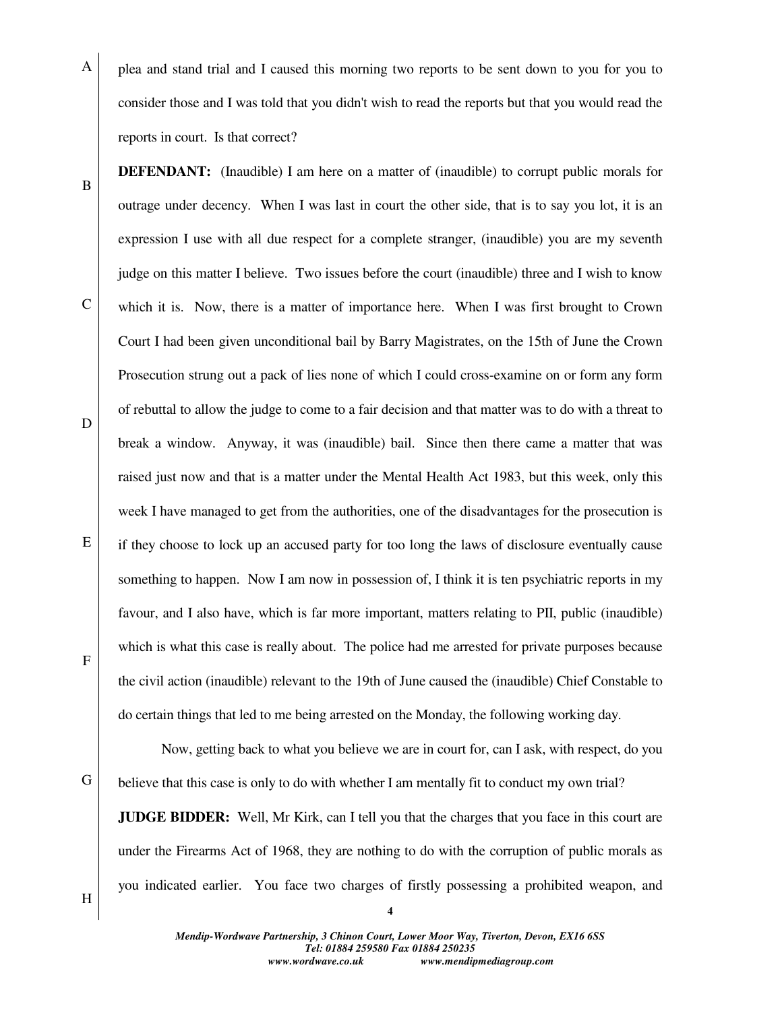A plea and stand trial and I caused this morning two reports to be sent down to you for you to consider those and I was told that you didn't wish to read the reports but that you would read the reports in court. Is that correct?

**DEFENDANT:** (Inaudible) I am here on a matter of (inaudible) to corrupt public morals for outrage under decency. When I was last in court the other side, that is to say you lot, it is an expression I use with all due respect for a complete stranger, (inaudible) you are my seventh judge on this matter I believe. Two issues before the court (inaudible) three and I wish to know which it is. Now, there is a matter of importance here. When I was first brought to Crown Court I had been given unconditional bail by Barry Magistrates, on the 15th of June the Crown Prosecution strung out a pack of lies none of which I could cross-examine on or form any form of rebuttal to allow the judge to come to a fair decision and that matter was to do with a threat to break a window. Anyway, it was (inaudible) bail. Since then there came a matter that was raised just now and that is a matter under the Mental Health Act 1983, but this week, only this week I have managed to get from the authorities, one of the disadvantages for the prosecution is if they choose to lock up an accused party for too long the laws of disclosure eventually cause something to happen. Now I am now in possession of, I think it is ten psychiatric reports in my favour, and I also have, which is far more important, matters relating to PII, public (inaudible) which is what this case is really about. The police had me arrested for private purposes because the civil action (inaudible) relevant to the 19th of June caused the (inaudible) Chief Constable to do certain things that led to me being arrested on the Monday, the following working day.

 Now, getting back to what you believe we are in court for, can I ask, with respect, do you believe that this case is only to do with whether I am mentally fit to conduct my own trial?

**JUDGE BIDDER:** Well, Mr Kirk, can I tell you that the charges that you face in this court are under the Firearms Act of 1968, they are nothing to do with the corruption of public morals as you indicated earlier. You face two charges of firstly possessing a prohibited weapon, and

H

B

C

D

E

F

G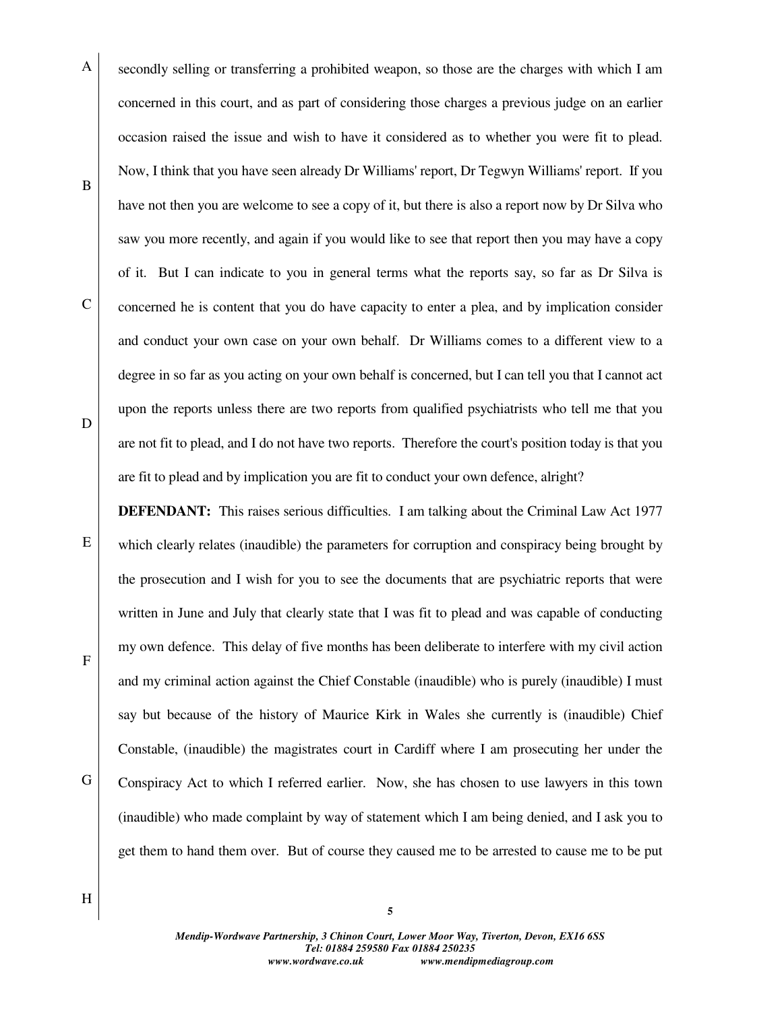- A B C D secondly selling or transferring a prohibited weapon, so those are the charges with which I am concerned in this court, and as part of considering those charges a previous judge on an earlier occasion raised the issue and wish to have it considered as to whether you were fit to plead. Now, I think that you have seen already Dr Williams' report, Dr Tegwyn Williams' report. If you have not then you are welcome to see a copy of it, but there is also a report now by Dr Silva who saw you more recently, and again if you would like to see that report then you may have a copy of it. But I can indicate to you in general terms what the reports say, so far as Dr Silva is concerned he is content that you do have capacity to enter a plea, and by implication consider and conduct your own case on your own behalf. Dr Williams comes to a different view to a degree in so far as you acting on your own behalf is concerned, but I can tell you that I cannot act upon the reports unless there are two reports from qualified psychiatrists who tell me that you are not fit to plead, and I do not have two reports. Therefore the court's position today is that you are fit to plead and by implication you are fit to conduct your own defence, alright?
- E F G **DEFENDANT:** This raises serious difficulties. I am talking about the Criminal Law Act 1977 which clearly relates (inaudible) the parameters for corruption and conspiracy being brought by the prosecution and I wish for you to see the documents that are psychiatric reports that were written in June and July that clearly state that I was fit to plead and was capable of conducting my own defence. This delay of five months has been deliberate to interfere with my civil action and my criminal action against the Chief Constable (inaudible) who is purely (inaudible) I must say but because of the history of Maurice Kirk in Wales she currently is (inaudible) Chief Constable, (inaudible) the magistrates court in Cardiff where I am prosecuting her under the Conspiracy Act to which I referred earlier. Now, she has chosen to use lawyers in this town (inaudible) who made complaint by way of statement which I am being denied, and I ask you to get them to hand them over. But of course they caused me to be arrested to cause me to be put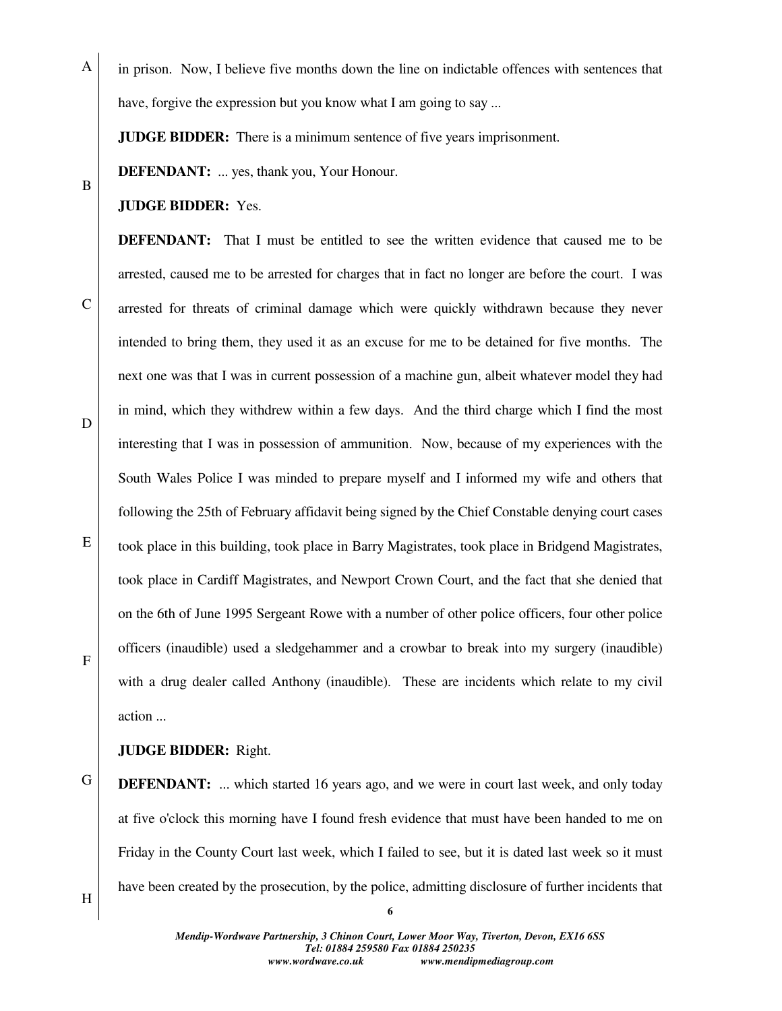in prison. Now, I believe five months down the line on indictable offences with sentences that have, forgive the expression but you know what I am going to say ...

**JUDGE BIDDER:** There is a minimum sentence of five years imprisonment.

**DEFENDANT:** ... yes, thank you, Your Honour.

#### **JUDGE BIDDER:** Yes.

A

B

C

D

E

F

**DEFENDANT:** That I must be entitled to see the written evidence that caused me to be arrested, caused me to be arrested for charges that in fact no longer are before the court. I was arrested for threats of criminal damage which were quickly withdrawn because they never intended to bring them, they used it as an excuse for me to be detained for five months. The next one was that I was in current possession of a machine gun, albeit whatever model they had in mind, which they withdrew within a few days. And the third charge which I find the most interesting that I was in possession of ammunition. Now, because of my experiences with the South Wales Police I was minded to prepare myself and I informed my wife and others that following the 25th of February affidavit being signed by the Chief Constable denying court cases took place in this building, took place in Barry Magistrates, took place in Bridgend Magistrates, took place in Cardiff Magistrates, and Newport Crown Court, and the fact that she denied that on the 6th of June 1995 Sergeant Rowe with a number of other police officers, four other police officers (inaudible) used a sledgehammer and a crowbar to break into my surgery (inaudible) with a drug dealer called Anthony (inaudible). These are incidents which relate to my civil action ...

### **JUDGE BIDDER:** Right.

G **DEFENDANT:** ... which started 16 years ago, and we were in court last week, and only today at five o'clock this morning have I found fresh evidence that must have been handed to me on Friday in the County Court last week, which I failed to see, but it is dated last week so it must have been created by the prosecution, by the police, admitting disclosure of further incidents that

H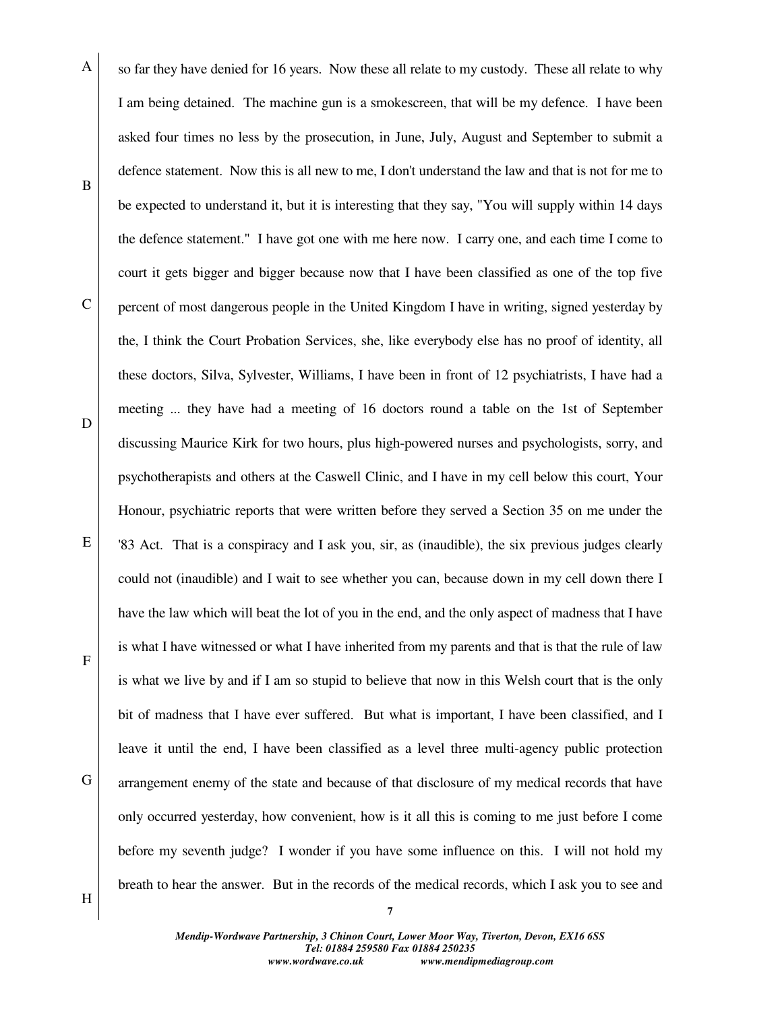A B C D E F G so far they have denied for 16 years. Now these all relate to my custody. These all relate to why I am being detained. The machine gun is a smokescreen, that will be my defence. I have been asked four times no less by the prosecution, in June, July, August and September to submit a defence statement. Now this is all new to me, I don't understand the law and that is not for me to be expected to understand it, but it is interesting that they say, "You will supply within 14 days the defence statement." I have got one with me here now. I carry one, and each time I come to court it gets bigger and bigger because now that I have been classified as one of the top five percent of most dangerous people in the United Kingdom I have in writing, signed yesterday by the, I think the Court Probation Services, she, like everybody else has no proof of identity, all these doctors, Silva, Sylvester, Williams, I have been in front of 12 psychiatrists, I have had a meeting ... they have had a meeting of 16 doctors round a table on the 1st of September discussing Maurice Kirk for two hours, plus high-powered nurses and psychologists, sorry, and psychotherapists and others at the Caswell Clinic, and I have in my cell below this court, Your Honour, psychiatric reports that were written before they served a Section 35 on me under the '83 Act. That is a conspiracy and I ask you, sir, as (inaudible), the six previous judges clearly could not (inaudible) and I wait to see whether you can, because down in my cell down there I have the law which will beat the lot of you in the end, and the only aspect of madness that I have is what I have witnessed or what I have inherited from my parents and that is that the rule of law is what we live by and if I am so stupid to believe that now in this Welsh court that is the only bit of madness that I have ever suffered. But what is important, I have been classified, and I leave it until the end, I have been classified as a level three multi-agency public protection arrangement enemy of the state and because of that disclosure of my medical records that have only occurred yesterday, how convenient, how is it all this is coming to me just before I come before my seventh judge? I wonder if you have some influence on this. I will not hold my breath to hear the answer. But in the records of the medical records, which I ask you to see and

H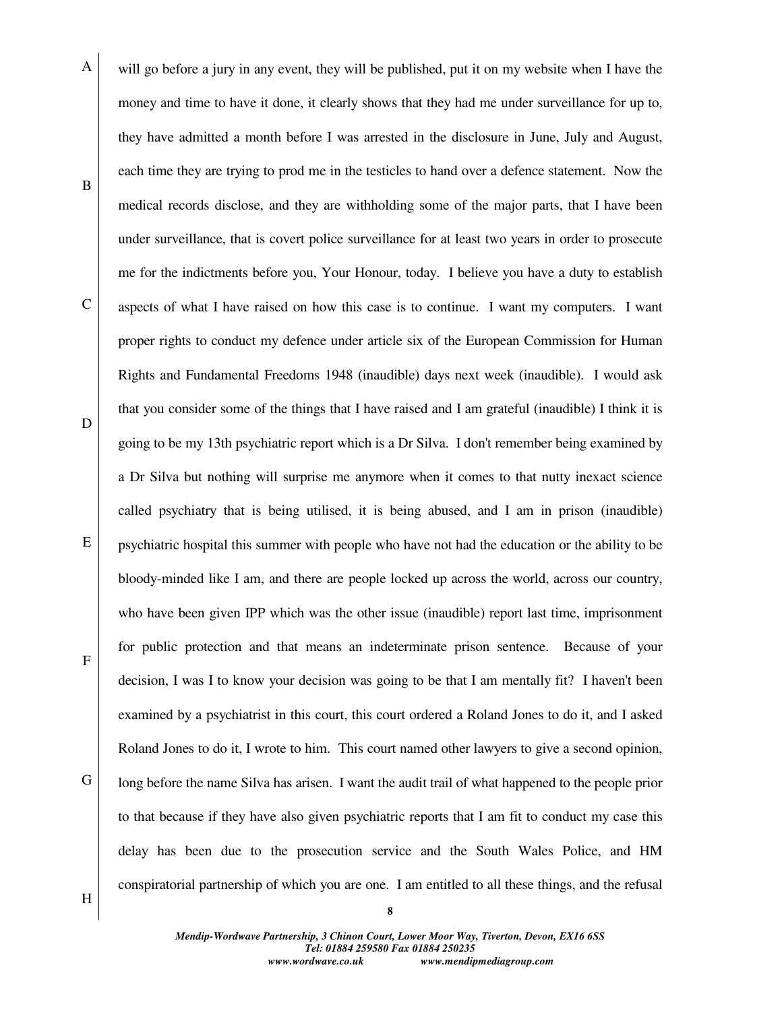A B C D E F G will go before a jury in any event, they will be published, put it on my website when I have the money and time to have it done, it clearly shows that they had me under surveillance for up to, they have admitted a month before I was arrested in the disclosure in June, July and August, each time they are trying to prod me in the testicles to hand over a defence statement. Now the medical records disclose, and they are withholding some of the major parts, that I have been under surveillance, that is covert police surveillance for at least two years in order to prosecute me for the indictments before you, Your Honour, today. I believe you have a duty to establish aspects of what I have raised on how this case is to continue. I want my computers. I want proper rights to conduct my defence under article six of the European Commission for Human Rights and Fundamental Freedoms 1948 (inaudible) days next week (inaudible). I would ask that you consider some of the things that I have raised and I am grateful (inaudible) I think it is going to be my 13th psychiatric report which is a Dr Silva. I don't remember being examined by a Dr Silva but nothing will surprise me anymore when it comes to that nutty inexact science called psychiatry that is being utilised, it is being abused, and I am in prison (inaudible) psychiatric hospital this summer with people who have not had the education or the ability to be bloody-minded like I am, and there are people locked up across the world, across our country, who have been given IPP which was the other issue (inaudible) report last time, imprisonment for public protection and that means an indeterminate prison sentence. Because of your decision, I was I to know your decision was going to be that I am mentally fit? I haven't been examined by a psychiatrist in this court, this court ordered a Roland Jones to do it, and I asked Roland Jones to do it, I wrote to him. This court named other lawyers to give a second opinion, long before the name Silva has arisen. I want the audit trail of what happened to the people prior to that because if they have also given psychiatric reports that I am fit to conduct my case this delay has been due to the prosecution service and the South Wales Police, and HM conspiratorial partnership of which you are one. I am entitled to all these things, and the refusal

H

*Mendip-Wordwave Partnership, 3 Chinon Court, Lower Moor Way, Tiverton, Devon, EX16 6SS Tel: 01884 259580 Fax 01884 250235 www.wordwave.co.uk www.mendipmediagroup.com*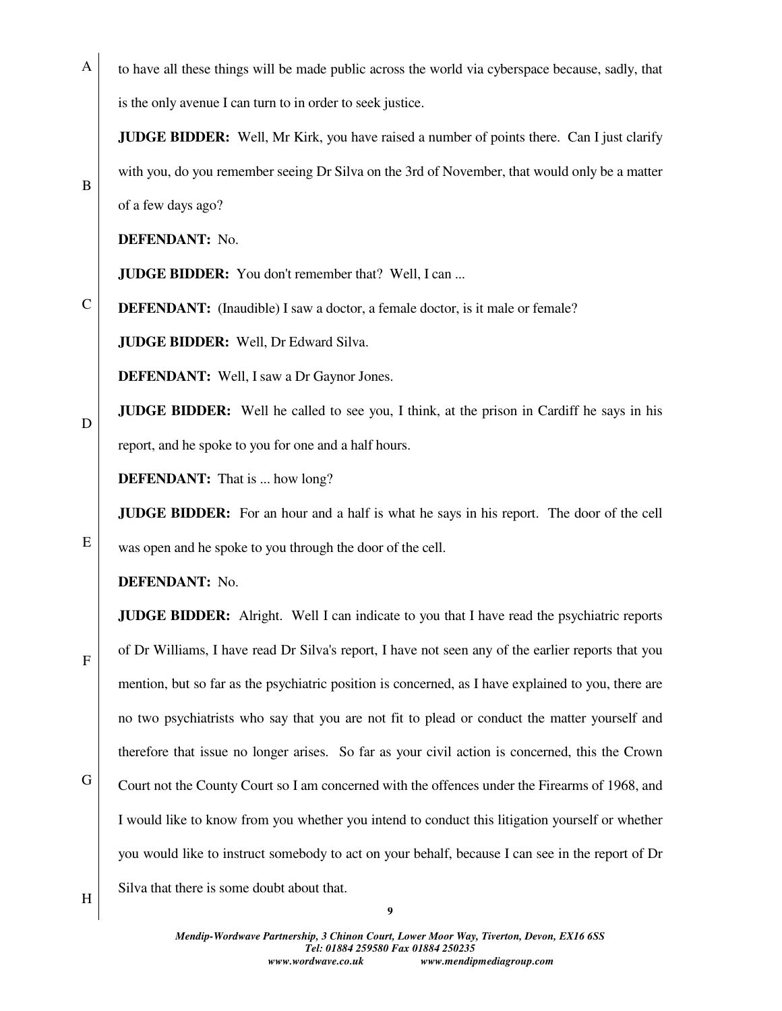A to have all these things will be made public across the world via cyberspace because, sadly, that is the only avenue I can turn to in order to seek justice.

**JUDGE BIDDER:** Well, Mr Kirk, you have raised a number of points there. Can I just clarify with you, do you remember seeing Dr Silva on the 3rd of November, that would only be a matter of a few days ago?

**DEFENDANT:** No.

B

D

E

F

**JUDGE BIDDER:** You don't remember that? Well, I can ...

C **DEFENDANT:** (Inaudible) I saw a doctor, a female doctor, is it male or female?

**JUDGE BIDDER:** Well, Dr Edward Silva.

**DEFENDANT:** Well, I saw a Dr Gaynor Jones.

**JUDGE BIDDER:** Well he called to see you, I think, at the prison in Cardiff he says in his report, and he spoke to you for one and a half hours.

**DEFENDANT:** That is ... how long?

**JUDGE BIDDER:** For an hour and a half is what he says in his report. The door of the cell

was open and he spoke to you through the door of the cell.

**DEFENDANT:** No.

**JUDGE BIDDER:** Alright. Well I can indicate to you that I have read the psychiatric reports of Dr Williams, I have read Dr Silva's report, I have not seen any of the earlier reports that you mention, but so far as the psychiatric position is concerned, as I have explained to you, there are no two psychiatrists who say that you are not fit to plead or conduct the matter yourself and therefore that issue no longer arises. So far as your civil action is concerned, this the Crown Court not the County Court so I am concerned with the offences under the Firearms of 1968, and I would like to know from you whether you intend to conduct this litigation yourself or whether you would like to instruct somebody to act on your behalf, because I can see in the report of Dr Silva that there is some doubt about that.

G

H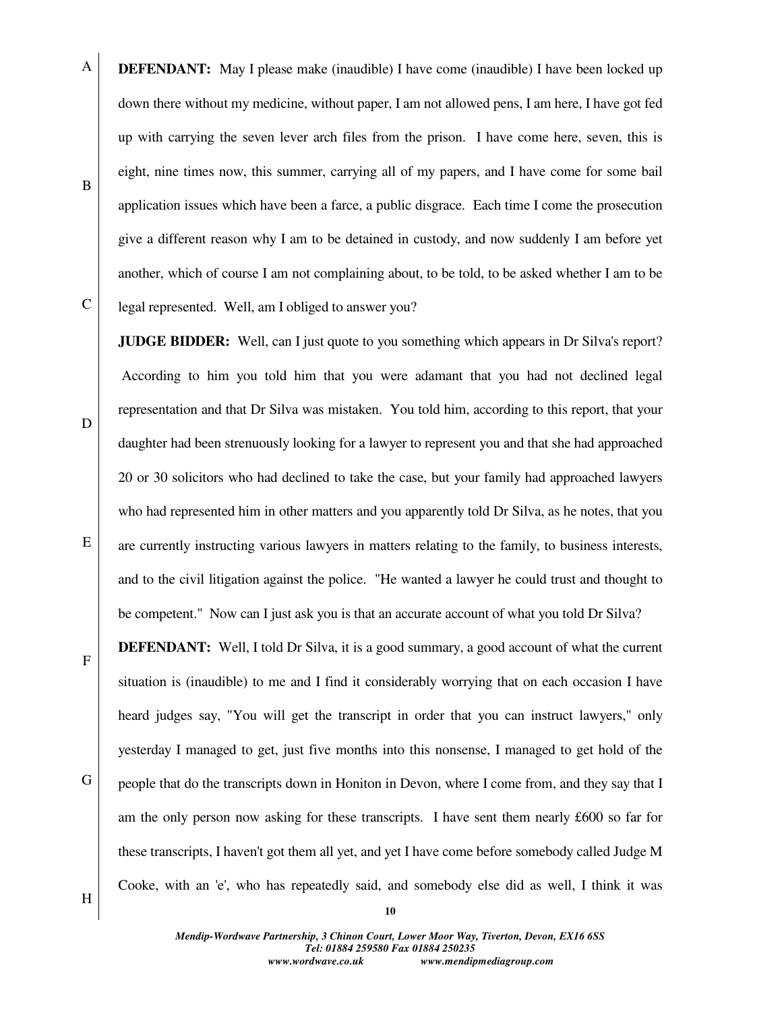**DEFENDANT:** May I please make (inaudible) I have come (inaudible) I have been locked up down there without my medicine, without paper, I am not allowed pens, I am here, I have got fed up with carrying the seven lever arch files from the prison. I have come here, seven, this is eight, nine times now, this summer, carrying all of my papers, and I have come for some bail application issues which have been a farce, a public disgrace. Each time I come the prosecution give a different reason why I am to be detained in custody, and now suddenly I am before yet another, which of course I am not complaining about, to be told, to be asked whether I am to be legal represented. Well, am I obliged to answer you?

**JUDGE BIDDER:** Well, can I just quote to you something which appears in Dr Silva's report? According to him you told him that you were adamant that you had not declined legal representation and that Dr Silva was mistaken. You told him, according to this report, that your daughter had been strenuously looking for a lawyer to represent you and that she had approached 20 or 30 solicitors who had declined to take the case, but your family had approached lawyers who had represented him in other matters and you apparently told Dr Silva, as he notes, that you are currently instructing various lawyers in matters relating to the family, to business interests, and to the civil litigation against the police. "He wanted a lawyer he could trust and thought to be competent." Now can I just ask you is that an accurate account of what you told Dr Silva?

**DEFENDANT:** Well, I told Dr Silva, it is a good summary, a good account of what the current situation is (inaudible) to me and I find it considerably worrying that on each occasion I have heard judges say, "You will get the transcript in order that you can instruct lawyers," only yesterday I managed to get, just five months into this nonsense, I managed to get hold of the people that do the transcripts down in Honiton in Devon, where I come from, and they say that I am the only person now asking for these transcripts. I have sent them nearly £600 so far for these transcripts, I haven't got them all yet, and yet I have come before somebody called Judge M Cooke, with an 'e', who has repeatedly said, and somebody else did as well, I think it was

D

E

A

B

C



G

H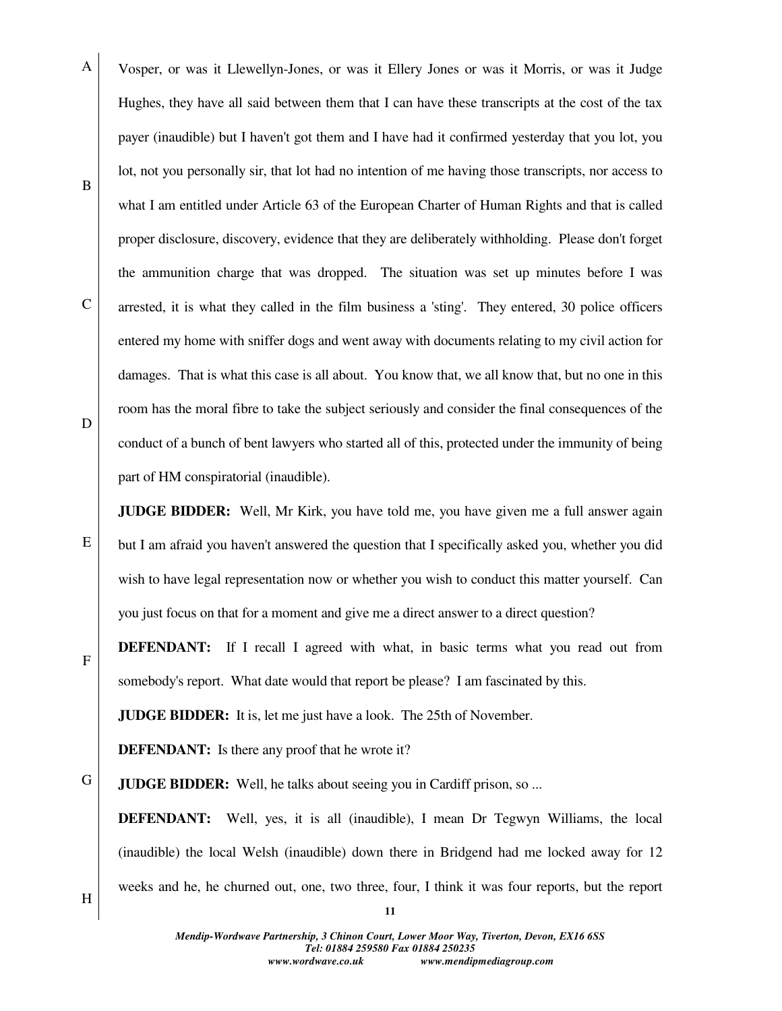A B C D Vosper, or was it Llewellyn-Jones, or was it Ellery Jones or was it Morris, or was it Judge Hughes, they have all said between them that I can have these transcripts at the cost of the tax payer (inaudible) but I haven't got them and I have had it confirmed yesterday that you lot, you lot, not you personally sir, that lot had no intention of me having those transcripts, nor access to what I am entitled under Article 63 of the European Charter of Human Rights and that is called proper disclosure, discovery, evidence that they are deliberately withholding. Please don't forget the ammunition charge that was dropped. The situation was set up minutes before I was arrested, it is what they called in the film business a 'sting'. They entered, 30 police officers entered my home with sniffer dogs and went away with documents relating to my civil action for damages. That is what this case is all about. You know that, we all know that, but no one in this room has the moral fibre to take the subject seriously and consider the final consequences of the conduct of a bunch of bent lawyers who started all of this, protected under the immunity of being part of HM conspiratorial (inaudible).

**JUDGE BIDDER:** Well, Mr Kirk, you have told me, you have given me a full answer again but I am afraid you haven't answered the question that I specifically asked you, whether you did wish to have legal representation now or whether you wish to conduct this matter yourself. Can you just focus on that for a moment and give me a direct answer to a direct question?

**DEFENDANT:** If I recall I agreed with what, in basic terms what you read out from somebody's report. What date would that report be please? I am fascinated by this.

**JUDGE BIDDER:** It is, let me just have a look. The 25th of November.

**DEFENDANT:** Is there any proof that he wrote it?

G **JUDGE BIDDER:** Well, he talks about seeing you in Cardiff prison, so ...

**DEFENDANT:** Well, yes, it is all (inaudible), I mean Dr Tegwyn Williams, the local (inaudible) the local Welsh (inaudible) down there in Bridgend had me locked away for 12 weeks and he, he churned out, one, two three, four, I think it was four reports, but the report

H

E

F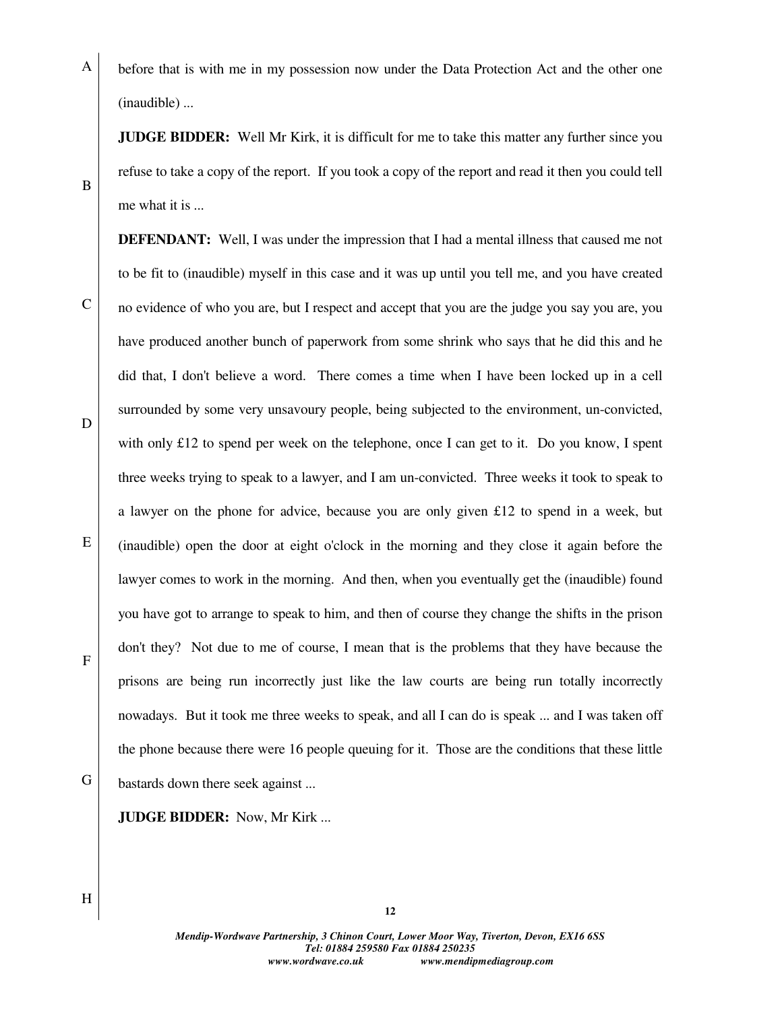A before that is with me in my possession now under the Data Protection Act and the other one (inaudible) ...

**JUDGE BIDDER:** Well Mr Kirk, it is difficult for me to take this matter any further since you refuse to take a copy of the report. If you took a copy of the report and read it then you could tell me what it is ...

**DEFENDANT:** Well, I was under the impression that I had a mental illness that caused me not to be fit to (inaudible) myself in this case and it was up until you tell me, and you have created no evidence of who you are, but I respect and accept that you are the judge you say you are, you have produced another bunch of paperwork from some shrink who says that he did this and he did that, I don't believe a word. There comes a time when I have been locked up in a cell surrounded by some very unsavoury people, being subjected to the environment, un-convicted, with only £12 to spend per week on the telephone, once I can get to it. Do you know, I spent three weeks trying to speak to a lawyer, and I am un-convicted. Three weeks it took to speak to a lawyer on the phone for advice, because you are only given £12 to spend in a week, but (inaudible) open the door at eight o'clock in the morning and they close it again before the lawyer comes to work in the morning. And then, when you eventually get the (inaudible) found you have got to arrange to speak to him, and then of course they change the shifts in the prison don't they? Not due to me of course, I mean that is the problems that they have because the prisons are being run incorrectly just like the law courts are being run totally incorrectly nowadays. But it took me three weeks to speak, and all I can do is speak ... and I was taken off the phone because there were 16 people queuing for it. Those are the conditions that these little bastards down there seek against ...

### **JUDGE BIDDER:** Now, Mr Kirk ...

B

C

D

E

F

H

G

*Mendip-Wordwave Partnership, 3 Chinon Court, Lower Moor Way, Tiverton, Devon, EX16 6SS Tel: 01884 259580 Fax 01884 250235 www.wordwave.co.uk www.mendipmediagroup.com*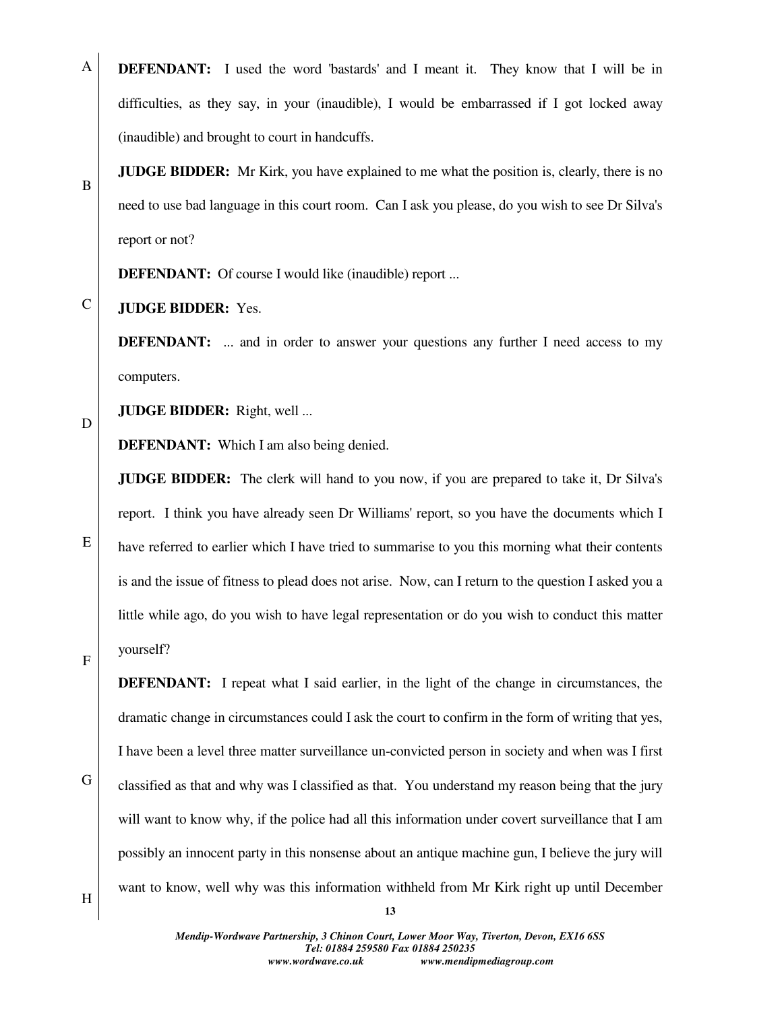A **DEFENDANT:** I used the word 'bastards' and I meant it. They know that I will be in difficulties, as they say, in your (inaudible), I would be embarrassed if I got locked away (inaudible) and brought to court in handcuffs.

**JUDGE BIDDER:** Mr Kirk, you have explained to me what the position is, clearly, there is no need to use bad language in this court room. Can I ask you please, do you wish to see Dr Silva's report or not?

**DEFENDANT:** Of course I would like (inaudible) report ...

C **JUDGE BIDDER:** Yes.

> **DEFENDANT:** ... and in order to answer your questions any further I need access to my computers.

D

B

**JUDGE BIDDER:** Right, well ...

**DEFENDANT:** Which I am also being denied.

**JUDGE BIDDER:** The clerk will hand to you now, if you are prepared to take it, Dr Silva's report. I think you have already seen Dr Williams' report, so you have the documents which I have referred to earlier which I have tried to summarise to you this morning what their contents is and the issue of fitness to plead does not arise. Now, can I return to the question I asked you a little while ago, do you wish to have legal representation or do you wish to conduct this matter

F

yourself?

E

**DEFENDANT:** I repeat what I said earlier, in the light of the change in circumstances, the dramatic change in circumstances could I ask the court to confirm in the form of writing that yes, I have been a level three matter surveillance un-convicted person in society and when was I first classified as that and why was I classified as that. You understand my reason being that the jury will want to know why, if the police had all this information under covert surveillance that I am possibly an innocent party in this nonsense about an antique machine gun, I believe the jury will want to know, well why was this information withheld from Mr Kirk right up until December

H

G

*Mendip-Wordwave Partnership, 3 Chinon Court, Lower Moor Way, Tiverton, Devon, EX16 6SS Tel: 01884 259580 Fax 01884 250235 www.wordwave.co.uk www.mendipmediagroup.com*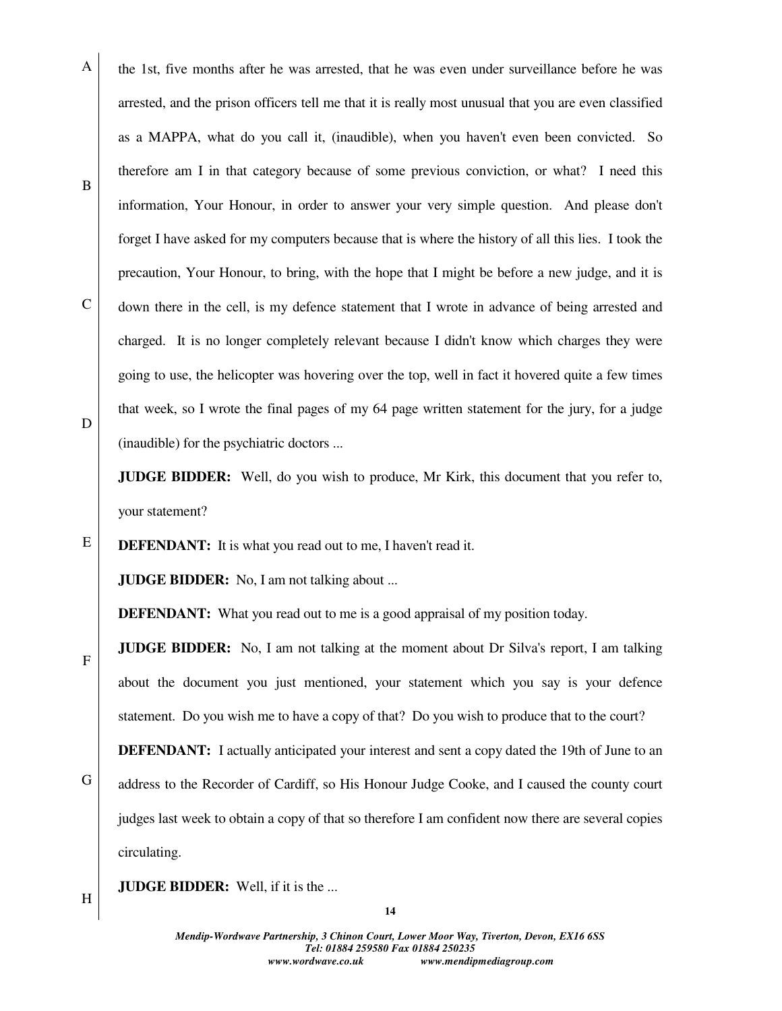A B C D the 1st, five months after he was arrested, that he was even under surveillance before he was arrested, and the prison officers tell me that it is really most unusual that you are even classified as a MAPPA, what do you call it, (inaudible), when you haven't even been convicted. So therefore am I in that category because of some previous conviction, or what? I need this information, Your Honour, in order to answer your very simple question. And please don't forget I have asked for my computers because that is where the history of all this lies. I took the precaution, Your Honour, to bring, with the hope that I might be before a new judge, and it is down there in the cell, is my defence statement that I wrote in advance of being arrested and charged. It is no longer completely relevant because I didn't know which charges they were going to use, the helicopter was hovering over the top, well in fact it hovered quite a few times that week, so I wrote the final pages of my 64 page written statement for the jury, for a judge (inaudible) for the psychiatric doctors ...

**JUDGE BIDDER:** Well, do you wish to produce, Mr Kirk, this document that you refer to, your statement?

**DEFENDANT:** It is what you read out to me, I haven't read it.

**JUDGE BIDDER:** No, I am not talking about ...

**DEFENDANT:** What you read out to me is a good appraisal of my position today.

**JUDGE BIDDER:** No, I am not talking at the moment about Dr Silva's report, I am talking about the document you just mentioned, your statement which you say is your defence statement. Do you wish me to have a copy of that? Do you wish to produce that to the court?

G **DEFENDANT:** I actually anticipated your interest and sent a copy dated the 19th of June to an address to the Recorder of Cardiff, so His Honour Judge Cooke, and I caused the county court judges last week to obtain a copy of that so therefore I am confident now there are several copies circulating.

**JUDGE BIDDER:** Well, if it is the ...

### H

E

F

**14**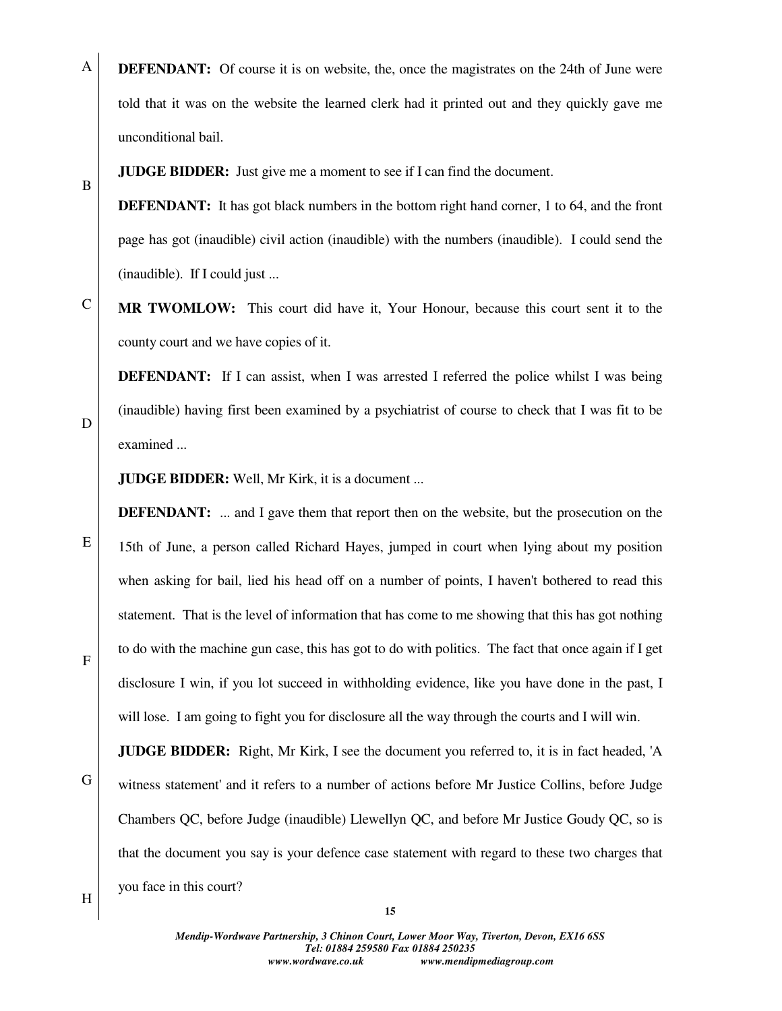A **DEFENDANT:** Of course it is on website, the, once the magistrates on the 24th of June were told that it was on the website the learned clerk had it printed out and they quickly gave me unconditional bail.

**JUDGE BIDDER:** Just give me a moment to see if I can find the document.

**DEFENDANT:** It has got black numbers in the bottom right hand corner, 1 to 64, and the front page has got (inaudible) civil action (inaudible) with the numbers (inaudible). I could send the (inaudible). If I could just ...

C **MR TWOMLOW:** This court did have it, Your Honour, because this court sent it to the county court and we have copies of it.

**DEFENDANT:** If I can assist, when I was arrested I referred the police whilst I was being (inaudible) having first been examined by a psychiatrist of course to check that I was fit to be examined ...

**JUDGE BIDDER:** Well, Mr Kirk, it is a document ...

**DEFENDANT:** ... and I gave them that report then on the website, but the prosecution on the 15th of June, a person called Richard Hayes, jumped in court when lying about my position when asking for bail, lied his head off on a number of points, I haven't bothered to read this statement. That is the level of information that has come to me showing that this has got nothing to do with the machine gun case, this has got to do with politics. The fact that once again if I get disclosure I win, if you lot succeed in withholding evidence, like you have done in the past, I will lose. I am going to fight you for disclosure all the way through the courts and I will win.

**JUDGE BIDDER:** Right, Mr Kirk, I see the document you referred to, it is in fact headed, 'A witness statement' and it refers to a number of actions before Mr Justice Collins, before Judge Chambers QC, before Judge (inaudible) Llewellyn QC, and before Mr Justice Goudy QC, so is that the document you say is your defence case statement with regard to these two charges that you face in this court?

F

B

D

E

G

H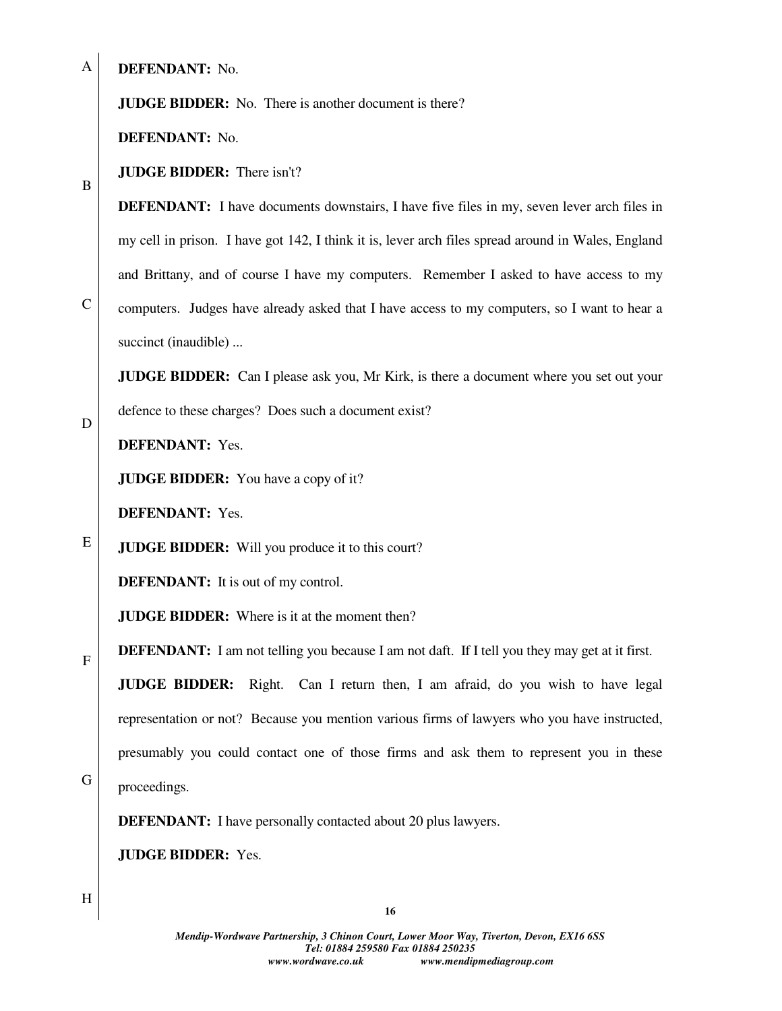A

B

C

D

E

F

G

**DEFENDANT:** No.

# **JUDGE BIDDER:** No. There is another document is there?

**DEFENDANT:** No.

**JUDGE BIDDER:** There isn't?

**DEFENDANT:** I have documents downstairs, I have five files in my, seven lever arch files in my cell in prison. I have got 142, I think it is, lever arch files spread around in Wales, England and Brittany, and of course I have my computers. Remember I asked to have access to my computers. Judges have already asked that I have access to my computers, so I want to hear a succinct (inaudible) ...

**JUDGE BIDDER:** Can I please ask you, Mr Kirk, is there a document where you set out your defence to these charges? Does such a document exist?

**DEFENDANT:** Yes.

**JUDGE BIDDER:** You have a copy of it?

**DEFENDANT:** Yes.

**JUDGE BIDDER:** Will you produce it to this court?

**DEFENDANT:** It is out of my control.

**JUDGE BIDDER:** Where is it at the moment then?

**DEFENDANT:** I am not telling you because I am not daft. If I tell you they may get at it first.

**JUDGE BIDDER:** Right. Can I return then, I am afraid, do you wish to have legal representation or not? Because you mention various firms of lawyers who you have instructed, presumably you could contact one of those firms and ask them to represent you in these proceedings.

**DEFENDANT:** I have personally contacted about 20 plus lawyers.

**JUDGE BIDDER:** Yes.

H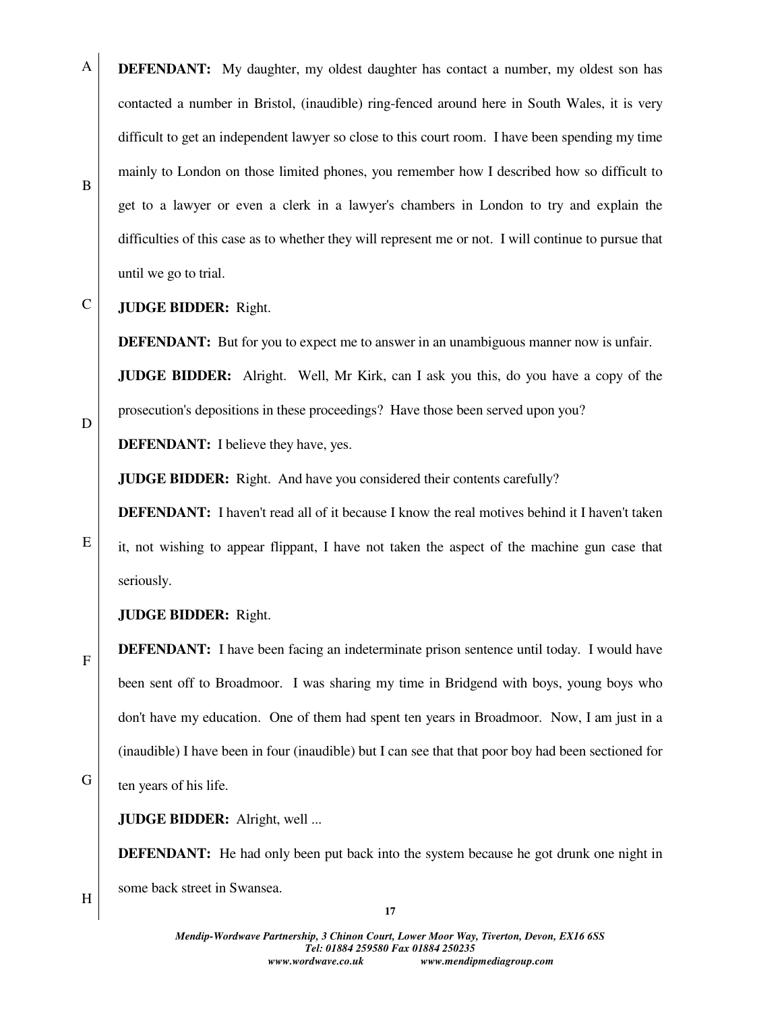- A B **DEFENDANT:** My daughter, my oldest daughter has contact a number, my oldest son has contacted a number in Bristol, (inaudible) ring-fenced around here in South Wales, it is very difficult to get an independent lawyer so close to this court room. I have been spending my time mainly to London on those limited phones, you remember how I described how so difficult to get to a lawyer or even a clerk in a lawyer's chambers in London to try and explain the difficulties of this case as to whether they will represent me or not. I will continue to pursue that until we go to trial.
- C **JUDGE BIDDER:** Right.

**DEFENDANT:** But for you to expect me to answer in an unambiguous manner now is unfair.

**JUDGE BIDDER:** Alright. Well, Mr Kirk, can I ask you this, do you have a copy of the prosecution's depositions in these proceedings? Have those been served upon you?

**DEFENDANT:** I believe they have, yes.

**JUDGE BIDDER:** Right. And have you considered their contents carefully?

**DEFENDANT:** I haven't read all of it because I know the real motives behind it I haven't taken

it, not wishing to appear flippant, I have not taken the aspect of the machine gun case that seriously.

**JUDGE BIDDER:** Right.

**DEFENDANT:** I have been facing an indeterminate prison sentence until today. I would have been sent off to Broadmoor. I was sharing my time in Bridgend with boys, young boys who don't have my education. One of them had spent ten years in Broadmoor. Now, I am just in a (inaudible) I have been in four (inaudible) but I can see that that poor boy had been sectioned for ten years of his life.

**JUDGE BIDDER:** Alright, well ...

**DEFENDANT:** He had only been put back into the system because he got drunk one night in some back street in Swansea.

H

G

E

F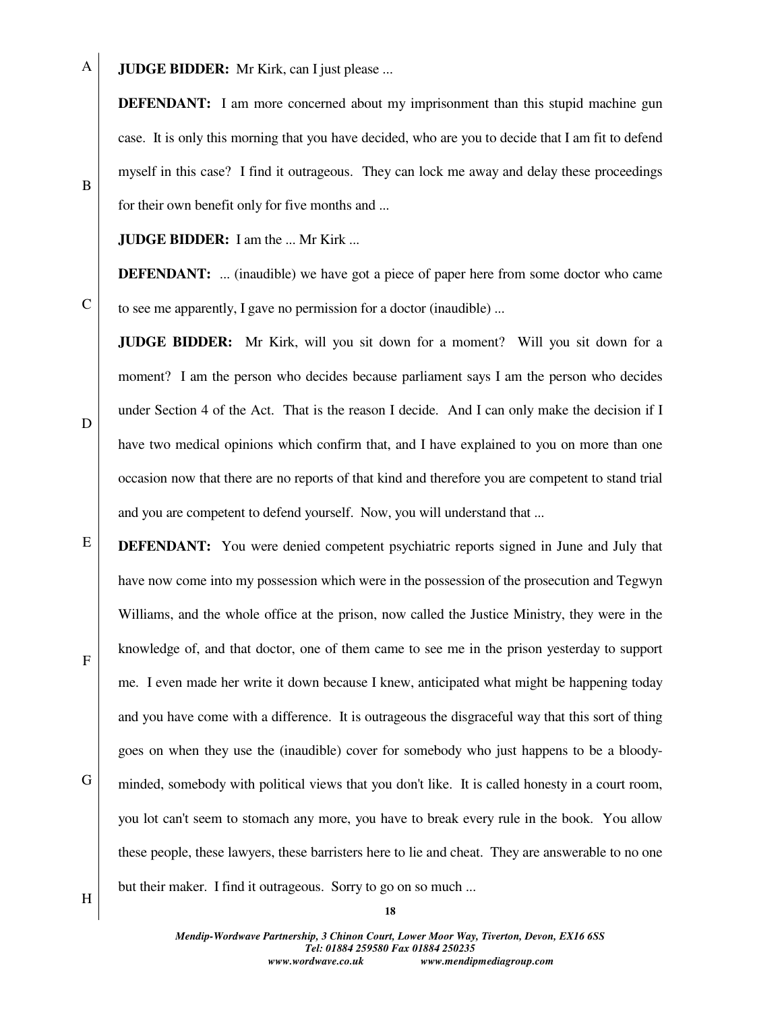A **JUDGE BIDDER:** Mr Kirk, can I just please ...

> **DEFENDANT:** I am more concerned about my imprisonment than this stupid machine gun case. It is only this morning that you have decided, who are you to decide that I am fit to defend myself in this case? I find it outrageous. They can lock me away and delay these proceedings for their own benefit only for five months and ...

**JUDGE BIDDER:** I am the ... Mr Kirk ...

**DEFENDANT:** ... (inaudible) we have got a piece of paper here from some doctor who came to see me apparently, I gave no permission for a doctor (inaudible) ...

**JUDGE BIDDER:** Mr Kirk, will you sit down for a moment? Will you sit down for a moment? I am the person who decides because parliament says I am the person who decides under Section 4 of the Act. That is the reason I decide. And I can only make the decision if I have two medical opinions which confirm that, and I have explained to you on more than one occasion now that there are no reports of that kind and therefore you are competent to stand trial and you are competent to defend yourself. Now, you will understand that ...

E G **DEFENDANT:** You were denied competent psychiatric reports signed in June and July that have now come into my possession which were in the possession of the prosecution and Tegwyn Williams, and the whole office at the prison, now called the Justice Ministry, they were in the knowledge of, and that doctor, one of them came to see me in the prison yesterday to support me. I even made her write it down because I knew, anticipated what might be happening today and you have come with a difference. It is outrageous the disgraceful way that this sort of thing goes on when they use the (inaudible) cover for somebody who just happens to be a bloodyminded, somebody with political views that you don't like. It is called honesty in a court room, you lot can't seem to stomach any more, you have to break every rule in the book. You allow these people, these lawyers, these barristers here to lie and cheat. They are answerable to no one but their maker. I find it outrageous. Sorry to go on so much ...

B

D

C

F

H

*Mendip-Wordwave Partnership, 3 Chinon Court, Lower Moor Way, Tiverton, Devon, EX16 6SS Tel: 01884 259580 Fax 01884 250235 www.wordwave.co.uk www.mendipmediagroup.com*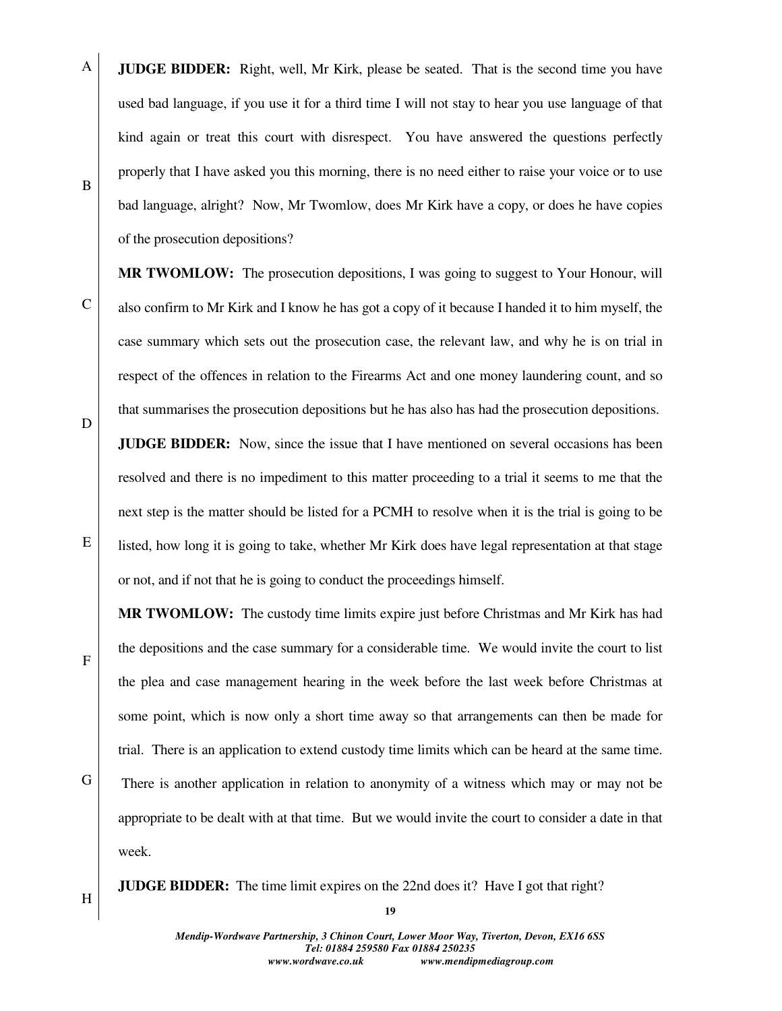A B **JUDGE BIDDER:** Right, well, Mr Kirk, please be seated. That is the second time you have used bad language, if you use it for a third time I will not stay to hear you use language of that kind again or treat this court with disrespect. You have answered the questions perfectly properly that I have asked you this morning, there is no need either to raise your voice or to use bad language, alright? Now, Mr Twomlow, does Mr Kirk have a copy, or does he have copies of the prosecution depositions?

**MR TWOMLOW:** The prosecution depositions, I was going to suggest to Your Honour, will also confirm to Mr Kirk and I know he has got a copy of it because I handed it to him myself, the case summary which sets out the prosecution case, the relevant law, and why he is on trial in respect of the offences in relation to the Firearms Act and one money laundering count, and so that summarises the prosecution depositions but he has also has had the prosecution depositions.

**JUDGE BIDDER:** Now, since the issue that I have mentioned on several occasions has been resolved and there is no impediment to this matter proceeding to a trial it seems to me that the next step is the matter should be listed for a PCMH to resolve when it is the trial is going to be listed, how long it is going to take, whether Mr Kirk does have legal representation at that stage or not, and if not that he is going to conduct the proceedings himself.

**MR TWOMLOW:** The custody time limits expire just before Christmas and Mr Kirk has had the depositions and the case summary for a considerable time. We would invite the court to list the plea and case management hearing in the week before the last week before Christmas at some point, which is now only a short time away so that arrangements can then be made for trial. There is an application to extend custody time limits which can be heard at the same time. There is another application in relation to anonymity of a witness which may or may not be appropriate to be dealt with at that time. But we would invite the court to consider a date in that week.

**JUDGE BIDDER:** The time limit expires on the 22nd does it? Have I got that right?

D

E

C

F

G

H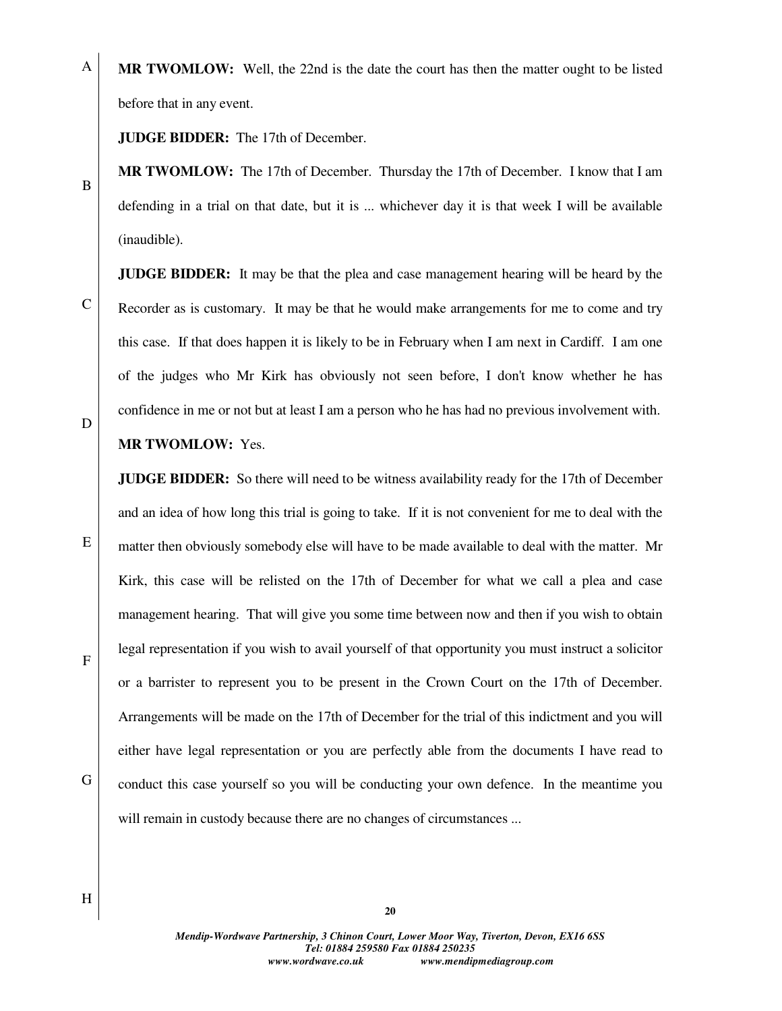A **MR TWOMLOW:** Well, the 22nd is the date the court has then the matter ought to be listed before that in any event.

**JUDGE BIDDER:** The 17th of December.

**MR TWOMLOW:** The 17th of December. Thursday the 17th of December. I know that I am defending in a trial on that date, but it is ... whichever day it is that week I will be available (inaudible).

**JUDGE BIDDER:** It may be that the plea and case management hearing will be heard by the Recorder as is customary. It may be that he would make arrangements for me to come and try this case. If that does happen it is likely to be in February when I am next in Cardiff. I am one of the judges who Mr Kirk has obviously not seen before, I don't know whether he has confidence in me or not but at least I am a person who he has had no previous involvement with.

## **MR TWOMLOW:** Yes.

**JUDGE BIDDER:** So there will need to be witness availability ready for the 17th of December and an idea of how long this trial is going to take. If it is not convenient for me to deal with the matter then obviously somebody else will have to be made available to deal with the matter. Mr Kirk, this case will be relisted on the 17th of December for what we call a plea and case management hearing. That will give you some time between now and then if you wish to obtain legal representation if you wish to avail yourself of that opportunity you must instruct a solicitor or a barrister to represent you to be present in the Crown Court on the 17th of December. Arrangements will be made on the 17th of December for the trial of this indictment and you will either have legal representation or you are perfectly able from the documents I have read to conduct this case yourself so you will be conducting your own defence. In the meantime you will remain in custody because there are no changes of circumstances ...

D

E

C



H

G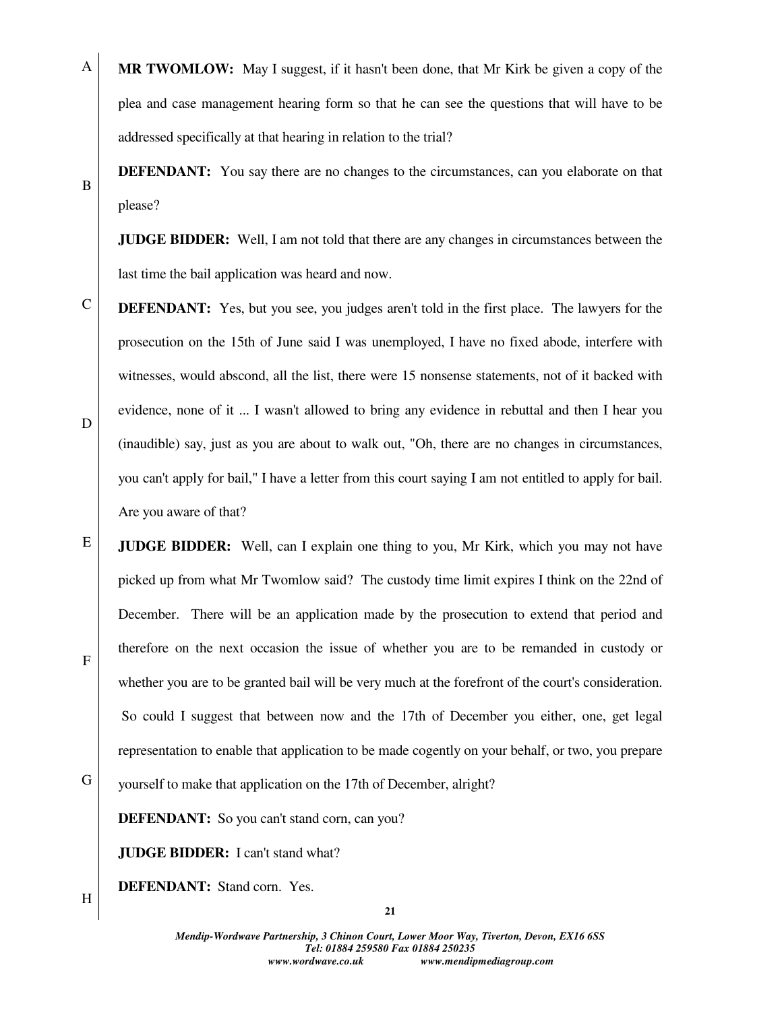**MR TWOMLOW:** May I suggest, if it hasn't been done, that Mr Kirk be given a copy of the plea and case management hearing form so that he can see the questions that will have to be addressed specifically at that hearing in relation to the trial?

**DEFENDANT:** You say there are no changes to the circumstances, can you elaborate on that please?

**JUDGE BIDDER:** Well, I am not told that there are any changes in circumstances between the last time the bail application was heard and now.

- C D **DEFENDANT:** Yes, but you see, you judges aren't told in the first place. The lawyers for the prosecution on the 15th of June said I was unemployed, I have no fixed abode, interfere with witnesses, would abscond, all the list, there were 15 nonsense statements, not of it backed with evidence, none of it ... I wasn't allowed to bring any evidence in rebuttal and then I hear you (inaudible) say, just as you are about to walk out, "Oh, there are no changes in circumstances, you can't apply for bail," I have a letter from this court saying I am not entitled to apply for bail. Are you aware of that?
- E F G **JUDGE BIDDER:** Well, can I explain one thing to you, Mr Kirk, which you may not have picked up from what Mr Twomlow said? The custody time limit expires I think on the 22nd of December. There will be an application made by the prosecution to extend that period and therefore on the next occasion the issue of whether you are to be remanded in custody or whether you are to be granted bail will be very much at the forefront of the court's consideration. So could I suggest that between now and the 17th of December you either, one, get legal representation to enable that application to be made cogently on your behalf, or two, you prepare
- yourself to make that application on the 17th of December, alright?

**DEFENDANT:** So you can't stand corn, can you?

**JUDGE BIDDER:** I can't stand what?

**DEFENDANT:** Stand corn. Yes.

H

A

B

**21**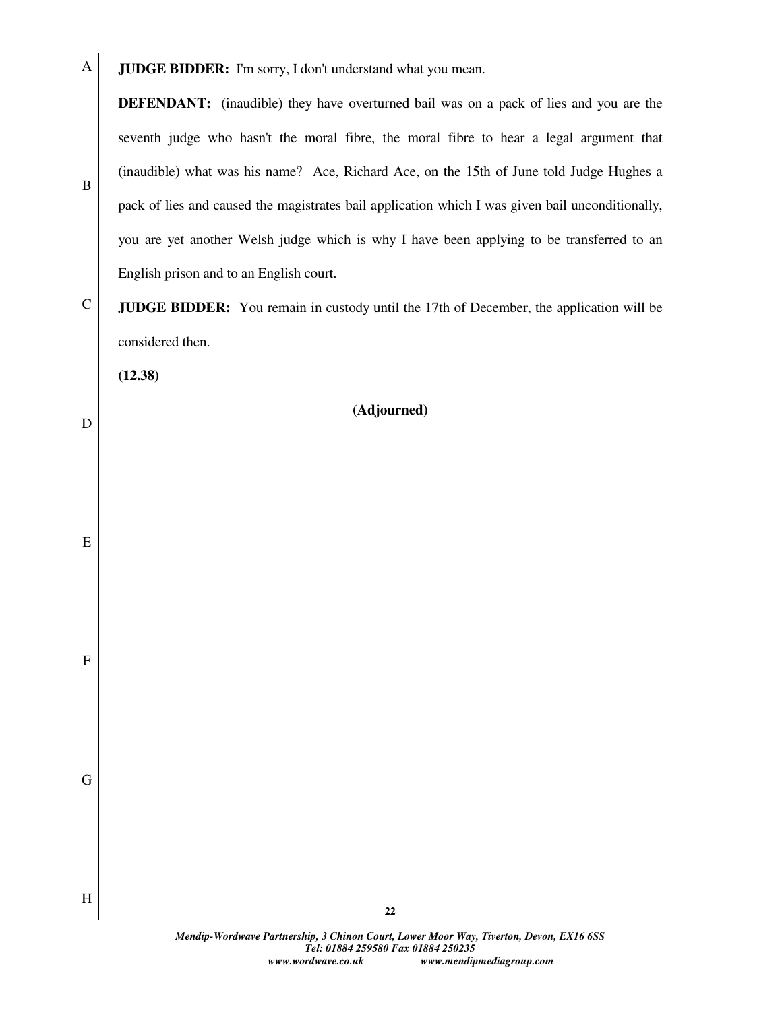A **JUDGE BIDDER:** I'm sorry, I don't understand what you mean.

**DEFENDANT:** (inaudible) they have overturned bail was on a pack of lies and you are the seventh judge who hasn't the moral fibre, the moral fibre to hear a legal argument that (inaudible) what was his name? Ace, Richard Ace, on the 15th of June told Judge Hughes a pack of lies and caused the magistrates bail application which I was given bail unconditionally, you are yet another Welsh judge which is why I have been applying to be transferred to an English prison and to an English court.

C **JUDGE BIDDER:** You remain in custody until the 17th of December, the application will be considered then.

**(12.38)** 

B

D

E

F

G

H

# **(Adjourned)**